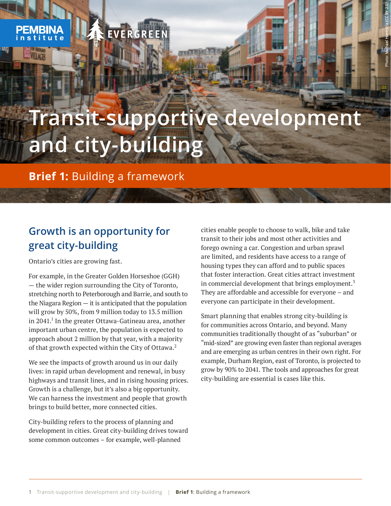**Lyng** 

# **Transit-supportive development and city-building**

**Brief 1:** Building a framework

EVERGREE

# **Growth is an opportunity for great city-building**

Ontario's cities are growing fast.

For example, in the Greater Golden Horseshoe (GGH) — the wider region surrounding the City of Toronto, stretching north to Peterborough and Barrie, and south to the Niagara Region  $-$  it is anticipated that the population will grow by 50%, from 9 million today to 13.5 million in 2041. $^1$  In the greater Ottawa-Gatineau area, another important urban centre, the population is expected to approach about 2 million by that year, with a majority of that growth expected within the City of Ottawa.<sup>2</sup>

We see the impacts of growth around us in our daily lives: in rapid urban development and renewal, in busy highways and transit lines, and in rising housing prices. Growth is a challenge, but it's also a big opportunity. We can harness the investment and people that growth brings to build better, more connected cities.

City-building refers to the process of planning and development in cities. Great city-building drives toward some common outcomes – for example, well-planned

cities enable people to choose to walk, bike and take transit to their jobs and most other activities and forego owning a car. Congestion and urban sprawl are limited, and residents have access to a range of housing types they can afford and to public spaces that foster interaction. Great cities attract investment in commercial development that brings employment. $3$ They are affordable and accessible for everyone – and everyone can participate in their development.

Photo: Michael Hiemstra (CC BY 2.0)

Smart planning that enables strong city-building is for communities across Ontario, and beyond. Many communities traditionally thought of as "suburban" or "mid-sized" are growing even faster than regional averages and are emerging as urban centres in their own right. For example, Durham Region, east of Toronto, is projected to grow by 90% to 2041. The tools and approaches for great city-building are essential is cases like this.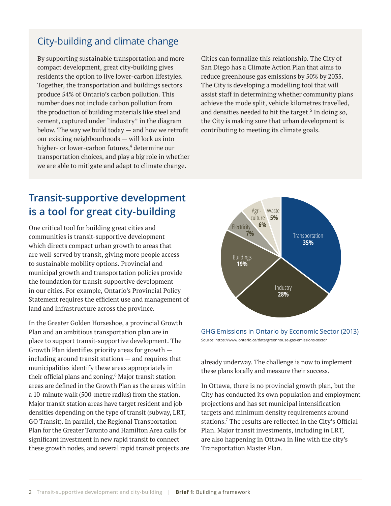#### City-building and climate change

By supporting sustainable transportation and more compact development, great city-building gives residents the option to live lower-carbon lifestyles. Together, the transportation and buildings sectors produce 54% of Ontario's carbon pollution. This number does not include carbon pollution from the production of building materials like steel and cement, captured under "industry" in the diagram below. The way we build today — and how we retrofit our existing neighbourhoods — will lock us into higher- or lower-carbon futures,<sup>4</sup> determine our transportation choices, and play a big role in whether we are able to mitigate and adapt to climate change.

Cities can formalize this relationship. The City of San Diego has a Climate Action Plan that aims to reduce greenhouse gas emissions by 50% by 2035. The City is developing a modelling tool that will assist staff in determining whether community plans achieve the mode split, vehicle kilometres travelled, and densities needed to hit the target. $5$  In doing so, the City is making sure that urban development is contributing to meeting its climate goals.

#### **Transit-supportive development is a tool for great city-building**

One critical tool for building great cities and communities is transit-supportive development which directs compact urban growth to areas that are well-served by transit, giving more people access to sustainable mobility options. Provincial and municipal growth and transportation policies provide the foundation for transit-supportive development in our cities. For example, Ontario's Provincial Policy Statement requires the efficient use and management of land and infrastructure across the province.

In the Greater Golden Horseshoe, a provincial Growth Plan and an ambitious transportation plan are in place to support transit-supportive development. The Growth Plan identifies priority areas for growth including around transit stations — and requires that municipalities identify these areas appropriately in their official plans and zoning.<sup>6</sup> Major transit station areas are defined in the Growth Plan as the areas within a 10-minute walk (500-metre radius) from the station. Major transit station areas have target resident and job densities depending on the type of transit (subway, LRT, GO Transit). In parallel, the Regional Transportation Plan for the Greater Toronto and Hamilton Area calls for significant investment in new rapid transit to connect these growth nodes, and several rapid transit projects are



GHG Emissions in Ontario by Economic Sector (2013) Source: https://www.ontario.ca/data/greenhouse-gas-emissions-sector

already underway. The challenge is now to implement these plans locally and measure their success.

In Ottawa, there is no provincial growth plan, but the City has conducted its own population and employment projections and has set municipal intensification targets and minimum density requirements around stations.<sup>7</sup> The results are reflected in the City's Official Plan. Major transit investments, including in LRT, are also happening in Ottawa in line with the city's Transportation Master Plan.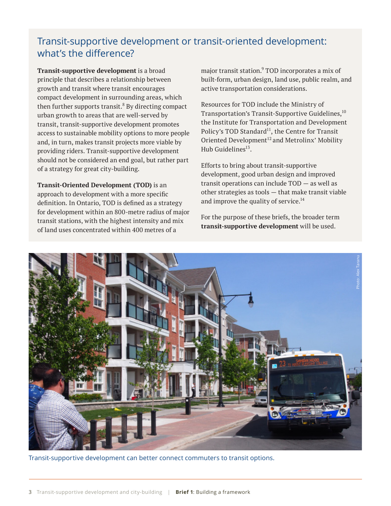#### Transit-supportive development or transit-oriented development: what's the difference?

**Transit-supportive development** is a broad principle that describes a relationship between growth and transit where transit encourages compact development in surrounding areas, which then further supports transit. $8$  By directing compact urban growth to areas that are well-served by transit, transit-supportive development promotes access to sustainable mobility options to more people and, in turn, makes transit projects more viable by providing riders. Transit-supportive development should not be considered an end goal, but rather part of a strategy for great city-building.

**Transit-Oriented Development (TOD)** is an approach to development with a more specific definition. In Ontario, TOD is defined as a strategy for development within an 800-metre radius of major transit stations, with the highest intensity and mix of land uses concentrated within 400 metres of a

major transit station.<sup>9</sup> TOD incorporates a mix of built-form, urban design, land use, public realm, and active transportation considerations.

Resources for TOD include the Ministry of Transportation's Transit-Supportive Guidelines,<sup>10</sup> the Institute for Transportation and Development Policy's TOD Standard<sup>11</sup>, the Centre for Transit Oriented Development $^{12}$  and Metrolinx' Mobility Hub Guidelines<sup>13</sup>

Efforts to bring about transit-supportive development, good urban design and improved transit operations can include TOD — as well as other strategies as tools — that make transit viable and improve the quality of service.<sup>14</sup>

For the purpose of these briefs, the broader term **transit-supportive development** will be used.



Transit-supportive development can better connect commuters to transit options.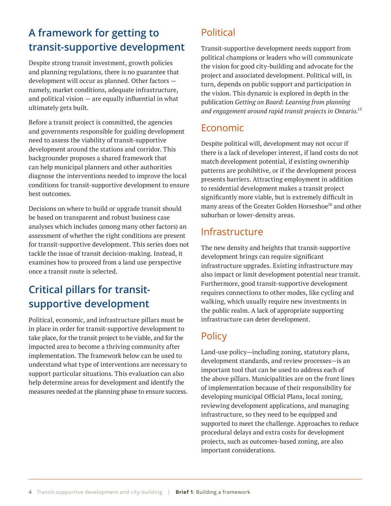# **A framework for getting to transit-supportive development**

Despite strong transit investment, growth policies and planning regulations, there is no guarantee that development will occur as planned. Other factors namely, market conditions, adequate infrastructure, and political vision  $-$  are equally influential in what ultimately gets built.

Before a transit project is committed, the agencies and governments responsible for guiding development need to assess the viability of transit-supportive development around the stations and corridor. This backgrounder proposes a shared framework that can help municipal planners and other authorities diagnose the interventions needed to improve the local conditions for transit-supportive development to ensure best outcomes.

Decisions on where to build or upgrade transit should be based on transparent and robust business case analyses which includes (among many other factors) an assessment of whether the right conditions are present for transit-supportive development. This series does not tackle the issue of transit decision-making. Instead, it examines how to proceed from a land use perspective once a transit route is selected.

# **Critical pillars for transitsupportive development**

Political, economic, and infrastructure pillars must be in place in order for transit-supportive development to take place, for the transit project to be viable, and for the impacted area to become a thriving community after implementation. The framework below can be used to understand what type of interventions are necessary to support particular situations. This evaluation can also help determine areas for development and identify the measures needed at the planning phase to ensure success.

### Political

Transit-supportive development needs support from political champions or leaders who will communicate the vision for good city-building and advocate for the project and associated development. Political will, in turn, depends on public support and participation in the vision. This dynamic is explored in depth in the publication *Getting on Board: Learning from planning and engagement around rapid transit projects in Ontario*. 15

#### Economic

Despite political will, development may not occur if there is a lack of developer interest, if land costs do not match development potential, if existing ownership patterns are prohibitive, or if the development process presents barriers. Attracting employment in addition to residential development makes a transit project significantly more viable, but is extremely difficult in many areas of the Greater Golden Horseshoe<sup>16</sup> and other suburban or lower-density areas.

#### Infrastructure

The new density and heights that transit-supportive development brings can require significant infrastructure upgrades. Existing infrastructure may also impact or limit development potential near transit. Furthermore, good transit-supportive development requires connections to other modes, like cycling and walking, which usually require new investments in the public realm. A lack of appropriate supporting infrastructure can deter development.

#### **Policy**

Land-use policy—including zoning, statutory plans, development standards, and review processes—is an important tool that can be used to address each of the above pillars. Municipalities are on the front lines of implementation because of their responsibility for developing municipal Official Plans, local zoning, reviewing development applications, and managing infrastructure, so they need to be equipped and supported to meet the challenge. Approaches to reduce procedural delays and extra costs for development projects, such as outcomes-based zoning, are also important considerations.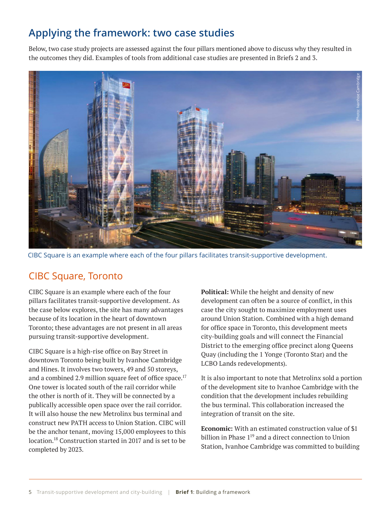### **Applying the framework: two case studies**

Below, two case study projects are assessed against the four pillars mentioned above to discuss why they resulted in the outcomes they did. Examples of tools from additional case studies are presented in Briefs 2 and 3.



CIBC Square is an example where each of the four pillars facilitates transit-supportive development.

#### CIBC Square, Toronto

CIBC Square is an example where each of the four pillars facilitates transit-supportive development. As the case below explores, the site has many advantages because of its location in the heart of downtown Toronto; these advantages are not present in all areas pursuing transit-supportive development.

CIBC Square is a high-rise office on Bay Street in downtown Toronto being built by Ivanhoe Cambridge and Hines. It involves two towers, 49 and 50 storeys, and a combined 2.9 million square feet of office space.<sup>17</sup> One tower is located south of the rail corridor while the other is north of it. They will be connected by a publically accessible open space over the rail corridor. It will also house the new Metrolinx bus terminal and construct new PATH access to Union Station. CIBC will be the anchor tenant, moving 15,000 employees to this location.<sup>18</sup> Construction started in 2017 and is set to be completed by 2023.

**Political:** While the height and density of new development can often be a source of conflict, in this case the city sought to maximize employment uses around Union Station. Combined with a high demand for office space in Toronto, this development meets city-building goals and will connect the Financial District to the emerging office precinct along Queens Quay (including the 1 Yonge (Toronto Star) and the LCBO Lands redevelopments).

It is also important to note that Metrolinx sold a portion of the development site to Ivanhoe Cambridge with the condition that the development includes rebuilding the bus terminal. This collaboration increased the integration of transit on the site.

**Economic:** With an estimated construction value of \$1 billion in Phase  $1<sup>19</sup>$  and a direct connection to Union Station, Ivanhoe Cambridge was committed to building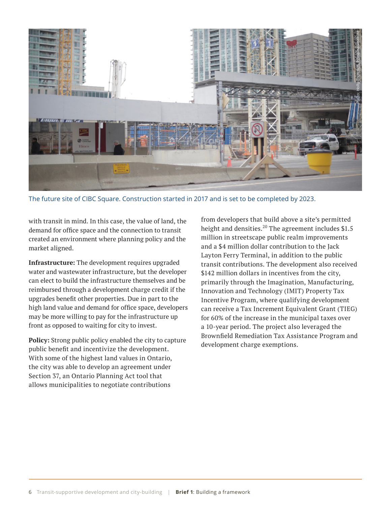

The future site of CIBC Square. Construction started in 2017 and is set to be completed by 2023.

with transit in mind. In this case, the value of land, the demand for office space and the connection to transit created an environment where planning policy and the market aligned.

**Infrastructure:** The development requires upgraded water and wastewater infrastructure, but the developer can elect to build the infrastructure themselves and be reimbursed through a development charge credit if the upgrades benefit other properties. Due in part to the high land value and demand for office space, developers may be more willing to pay for the infrastructure up front as opposed to waiting for city to invest.

**Policy:** Strong public policy enabled the city to capture public benefit and incentivize the development. With some of the highest land values in Ontario, the city was able to develop an agreement under Section 37, an Ontario Planning Act tool that allows municipalities to negotiate contributions

from developers that build above a site's permitted height and densities.<sup>20</sup> The agreement includes \$1.5 million in streetscape public realm improvements and a \$4 million dollar contribution to the Jack Layton Ferry Terminal, in addition to the public transit contributions. The development also received \$142 million dollars in incentives from the city, primarily through the Imagination, Manufacturing, Innovation and Technology (IMIT) Property Tax Incentive Program, where qualifying development can receive a Tax Increment Equivalent Grant (TIEG) for 60% of the increase in the municipal taxes over a 10-year period. The project also leveraged the Brownfield Remediation Tax Assistance Program and development charge exemptions.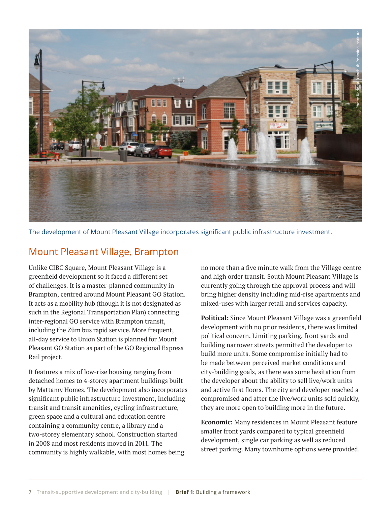

The development of Mount Pleasant Village incorporates significant public infrastructure investment.

#### Mount Pleasant Village, Brampton

Unlike CIBC Square, Mount Pleasant Village is a greenfield development so it faced a different set of challenges. It is a master-planned community in Brampton, centred around Mount Pleasant GO Station. It acts as a mobility hub (though it is not designated as such in the Regional Transportation Plan) connecting inter-regional GO service with Brampton transit, including the Züm bus rapid service. More frequent, all-day service to Union Station is planned for Mount Pleasant GO Station as part of the GO Regional Express Rail project.

It features a mix of low-rise housing ranging from detached homes to 4-storey apartment buildings built by Mattamy Homes. The development also incorporates significant public infrastructure investment, including transit and transit amenities, cycling infrastructure, green space and a cultural and education centre containing a community centre, a library and a two-storey elementary school. Construction started in 2008 and most residents moved in 2011. The community is highly walkable, with most homes being

no more than a five minute walk from the Village centre and high order transit. South Mount Pleasant Village is currently going through the approval process and will bring higher density including mid-rise apartments and mixed-uses with larger retail and services capacity.

**Political:** Since Mount Pleasant Village was a greenfield development with no prior residents, there was limited political concern. Limiting parking, front yards and building narrower streets permitted the developer to build more units. Some compromise initially had to be made between perceived market conditions and city-building goals, as there was some hesitation from the developer about the ability to sell live/work units and active first floors. The city and developer reached a compromised and after the live/work units sold quickly, they are more open to building more in the future.

**Economic:** Many residences in Mount Pleasant feature smaller front yards compared to typical greenfield development, single car parking as well as reduced street parking. Many townhome options were provided.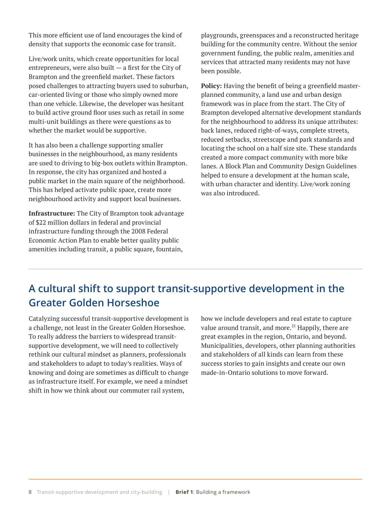This more efficient use of land encourages the kind of density that supports the economic case for transit.

Live/work units, which create opportunities for local entrepreneurs, were also built  $-$  a first for the City of Brampton and the greenfield market. These factors posed challenges to attracting buyers used to suburban, car-oriented living or those who simply owned more than one vehicle. Likewise, the developer was hesitant to build active ground floor uses such as retail in some multi-unit buildings as there were questions as to whether the market would be supportive.

It has also been a challenge supporting smaller businesses in the neighbourhood, as many residents are used to driving to big-box outlets within Brampton. In response, the city has organized and hosted a public market in the main square of the neighborhood. This has helped activate public space, create more neighbourhood activity and support local businesses.

**Infrastructure:** The City of Brampton took advantage of \$22 million dollars in federal and provincial infrastructure funding through the 2008 Federal Economic Action Plan to enable better quality public amenities including transit, a public square, fountain,

playgrounds, greenspaces and a reconstructed heritage building for the community centre. Without the senior government funding, the public realm, amenities and services that attracted many residents may not have been possible.

**Policy:** Having the benefit of being a greenfield masterplanned community, a land use and urban design framework was in place from the start. The City of Brampton developed alternative development standards for the neighbourhood to address its unique attributes: back lanes, reduced right-of-ways, complete streets, reduced setbacks, streetscape and park standards and locating the school on a half size site. These standards created a more compact community with more bike lanes. A Block Plan and Community Design Guidelines helped to ensure a development at the human scale, with urban character and identity. Live/work zoning was also introduced.

# **A cultural shift to support transit-supportive development in the Greater Golden Horseshoe**

Catalyzing successful transit-supportive development is a challenge, not least in the Greater Golden Horseshoe. To really address the barriers to widespread transitsupportive development, we will need to collectively rethink our cultural mindset as planners, professionals and stakeholders to adapt to today's realities. Ways of knowing and doing are sometimes as difficult to change as infrastructure itself. For example, we need a mindset shift in how we think about our commuter rail system,

how we include developers and real estate to capture value around transit, and more. $^{21}$  Happily, there are great examples in the region, Ontario, and beyond. Municipalities, developers, other planning authorities and stakeholders of all kinds can learn from these success stories to gain insights and create our own made-in-Ontario solutions to move forward.